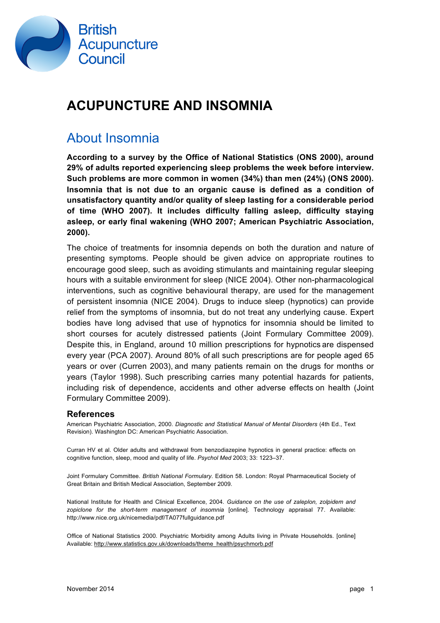

# **ACUPUNCTURE AND INSOMNIA**

#### About Insomnia

**According to a survey by the Office of National Statistics (ONS 2000), around 29% of adults reported experiencing sleep problems the week before interview. Such problems are more common in women (34%) than men (24%) (ONS 2000). Insomnia that is not due to an organic cause is defined as a condition of unsatisfactory quantity and/or quality of sleep lasting for a considerable period of time (WHO 2007). It includes difficulty falling asleep, difficulty staying asleep, or early final wakening (WHO 2007; American Psychiatric Association, 2000).**

The choice of treatments for insomnia depends on both the duration and nature of presenting symptoms. People should be given advice on appropriate routines to encourage good sleep, such as avoiding stimulants and maintaining regular sleeping hours with a suitable environment for sleep (NICE 2004). Other non-pharmacological interventions, such as cognitive behavioural therapy, are used for the management of persistent insomnia (NICE 2004). Drugs to induce sleep (hypnotics) can provide relief from the symptoms of insomnia, but do not treat any underlying cause. Expert bodies have long advised that use of hypnotics for insomnia should be limited to short courses for acutely distressed patients (Joint Formulary Committee 2009). Despite this, in England, around 10 million prescriptions for hypnotics are dispensed every year (PCA 2007). Around 80% of all such prescriptions are for people aged 65 years or over (Curren 2003), and many patients remain on the drugs for months or years (Taylor 1998). Such prescribing carries many potential hazards for patients, including risk of dependence, accidents and other adverse effects on health (Joint Formulary Committee 2009).

#### **References**

American Psychiatric Association, 2000. *Diagnostic and Statistical Manual of Mental Disorders* (4th Ed., Text Revision). Washington DC: American Psychiatric Association.

Curran HV et al. Older adults and withdrawal from benzodiazepine hypnotics in general practice: effects on cognitive function, sleep, mood and quality of life. *Psychol Med* 2003; 33: 1223–37.

Joint Formulary Committee. *British National Formulary*. Edition 58. London: Royal Pharmaceutical Society of Great Britain and British Medical Association, September 2009.

National Institute for Health and Clinical Excellence, 2004. *Guidance on the use of zaleplon, zolpidem and zopiclone for the short-term management of insomnia* [online]. Technology appraisal 77. Available: http://www.nice.org.uk/nicemedia/pdf/TA077fullguidance.pdf

Office of National Statistics 2000. Psychiatric Morbidity among Adults living in Private Households. [online] Available: http://www.statistics.gov.uk/downloads/theme\_health/psychmorb.pdf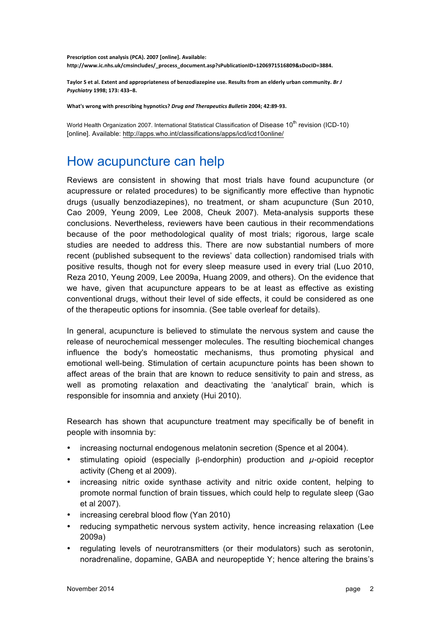Prescription cost analysis (PCA). 2007 [online]. Available: **http://www.ic.nhs.uk/cmsincludes/\_process\_document.asp?sPublicationID=1206971516809&sDocID=3884.** 

Taylor S et al. Extent and appropriateness of benzodiazepine use. Results from an elderly urban community. *Br J Psychiatry* **1998; 173: 433–8.**

What's wrong with prescribing hypnotics? *Drug and Therapeutics Bulletin* 2004; 42:89-93.

World Health Organization 2007. International Statistical Classification of Disease 10<sup>th</sup> revision (ICD-10) [online]. Available: http://apps.who.int/classifications/apps/icd/icd10online/

#### How acupuncture can help

Reviews are consistent in showing that most trials have found acupuncture (or acupressure or related procedures) to be significantly more effective than hypnotic drugs (usually benzodiazepines), no treatment, or sham acupuncture (Sun 2010, Cao 2009, Yeung 2009, Lee 2008, Cheuk 2007). Meta-analysis supports these conclusions. Nevertheless, reviewers have been cautious in their recommendations because of the poor methodological quality of most trials; rigorous, large scale studies are needed to address this. There are now substantial numbers of more recent (published subsequent to the reviews' data collection) randomised trials with positive results, though not for every sleep measure used in every trial (Luo 2010, Reza 2010, Yeung 2009, Lee 2009a, Huang 2009, and others). On the evidence that we have, given that acupuncture appears to be at least as effective as existing conventional drugs, without their level of side effects, it could be considered as one of the therapeutic options for insomnia. (See table overleaf for details).

In general, acupuncture is believed to stimulate the nervous system and cause the release of neurochemical messenger molecules. The resulting biochemical changes influence the body's homeostatic mechanisms, thus promoting physical and emotional well-being. Stimulation of certain acupuncture points has been shown to affect areas of the brain that are known to reduce sensitivity to pain and stress, as well as promoting relaxation and deactivating the 'analytical' brain, which is responsible for insomnia and anxiety (Hui 2010).

Research has shown that acupuncture treatment may specifically be of benefit in people with insomnia by:

- increasing nocturnal endogenous melatonin secretion (Spence et al 2004).
- stimulating opioid (especially  $\beta$ -endorphin) production and  $\mu$ -opioid receptor activity (Cheng et al 2009).
- increasing nitric oxide synthase activity and nitric oxide content, helping to promote normal function of brain tissues, which could help to regulate sleep (Gao et al 2007).
- increasing cerebral blood flow (Yan 2010)
- reducing sympathetic nervous system activity, hence increasing relaxation (Lee 2009a)
- regulating levels of neurotransmitters (or their modulators) such as serotonin, noradrenaline, dopamine, GABA and neuropeptide Y; hence altering the brains's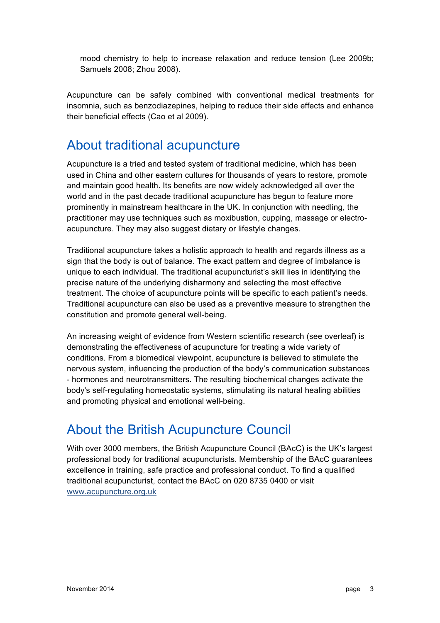mood chemistry to help to increase relaxation and reduce tension (Lee 2009b; Samuels 2008; Zhou 2008).

Acupuncture can be safely combined with conventional medical treatments for insomnia, such as benzodiazepines, helping to reduce their side effects and enhance their beneficial effects (Cao et al 2009).

### About traditional acupuncture

Acupuncture is a tried and tested system of traditional medicine, which has been used in China and other eastern cultures for thousands of years to restore, promote and maintain good health. Its benefits are now widely acknowledged all over the world and in the past decade traditional acupuncture has begun to feature more prominently in mainstream healthcare in the UK. In conjunction with needling, the practitioner may use techniques such as moxibustion, cupping, massage or electroacupuncture. They may also suggest dietary or lifestyle changes.

Traditional acupuncture takes a holistic approach to health and regards illness as a sign that the body is out of balance. The exact pattern and degree of imbalance is unique to each individual. The traditional acupuncturist's skill lies in identifying the precise nature of the underlying disharmony and selecting the most effective treatment. The choice of acupuncture points will be specific to each patient's needs. Traditional acupuncture can also be used as a preventive measure to strengthen the constitution and promote general well-being.

An increasing weight of evidence from Western scientific research (see overleaf) is demonstrating the effectiveness of acupuncture for treating a wide variety of conditions. From a biomedical viewpoint, acupuncture is believed to stimulate the nervous system, influencing the production of the body's communication substances - hormones and neurotransmitters. The resulting biochemical changes activate the body's self-regulating homeostatic systems, stimulating its natural healing abilities and promoting physical and emotional well-being.

# About the British Acupuncture Council

With over 3000 members, the British Acupuncture Council (BAcC) is the UK's largest professional body for traditional acupuncturists. Membership of the BAcC guarantees excellence in training, safe practice and professional conduct. To find a qualified traditional acupuncturist, contact the BAcC on 020 8735 0400 or visit www.acupuncture.org.uk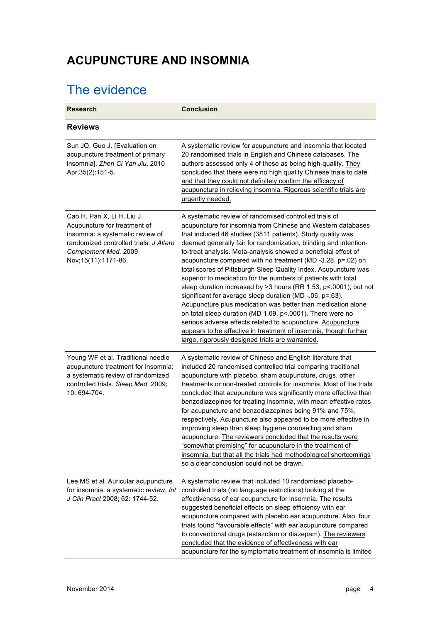### **ACUPUNCTURE AND INSOMNIA**

# The evidence

| <b>Research</b>                                                                                                                                                                           | <b>Conclusion</b>                                                                                                                                                                                                                                                                                                                                                                                                                                                                                                                                                                                                                                                                                                                                                                                                                                                                                                                                                                |
|-------------------------------------------------------------------------------------------------------------------------------------------------------------------------------------------|----------------------------------------------------------------------------------------------------------------------------------------------------------------------------------------------------------------------------------------------------------------------------------------------------------------------------------------------------------------------------------------------------------------------------------------------------------------------------------------------------------------------------------------------------------------------------------------------------------------------------------------------------------------------------------------------------------------------------------------------------------------------------------------------------------------------------------------------------------------------------------------------------------------------------------------------------------------------------------|
| <b>Reviews</b>                                                                                                                                                                            |                                                                                                                                                                                                                                                                                                                                                                                                                                                                                                                                                                                                                                                                                                                                                                                                                                                                                                                                                                                  |
| Sun JQ, Guo J. [Evaluation on<br>acupuncture treatment of primary<br>insomnia]. Zhen Ci Yan Jiu. 2010<br>Apr; 35(2): 151-5.                                                               | A systematic review for acupuncture and insomnia that located<br>20 randomised trials in English and Chinese databases. The<br>authors assessed only 4 of these as being high-quality. They<br>concluded that there were no high quality Chinese trials to date<br>and that they could not definitely confirm the efficacy of<br>acupuncture in relieving insomnia. Rigorous scientific trials are<br>urgently needed.                                                                                                                                                                                                                                                                                                                                                                                                                                                                                                                                                           |
| Cao H, Pan X, Li H, Liu J.<br>Acupuncture for treatment of<br>insomnia: a systematic review of<br>randomized controlled trials. J Altern<br>Complement Med. 2009<br>Nov; 15(11): 1171-86. | A systematic review of randomised controlled trials of<br>acupuncture for insomnia from Chinese and Western databases<br>that included 46 studies (3811 patients). Study quality was<br>deemed generally fair for randomization, blinding and intention-<br>to-treat analysis. Meta-analysis showed a beneficial effect of<br>acupuncture compared with no treatment (MD-3.28, p=.02) on<br>total scores of Pittsburgh Sleep Quality Index. Acupuncture was<br>superior to medication for the numbers of patients with total<br>sleep duration increased by >3 hours (RR 1.53, p<.0001), but not<br>significant for average sleep duration (MD -.06, p=.63).<br>Acupuncture plus medication was better than medication alone<br>on total sleep duration (MD 1.09, p<.0001). There were no<br>serious adverse effects related to acupuncture. Acupuncture<br>appears to be affective in treatment of insomnia, though further<br>large, rigorously designed trials are warranted. |
| Yeung WF et al. Traditional needle<br>acupuncture treatment for insomnia:<br>a systematic review of randomized<br>controlled trials. Sleep Med 2009;<br>10: 694-704.                      | A systematic review of Chinese and English literature that<br>included 20 randomised controlled trial comparing traditional<br>acupuncture with placebo, sham acupuncture, drugs, other<br>treatments or non-treated controls for insomnia. Most of the trials<br>concluded that acupuncture was significantly more effective than<br>benzodiazepines for treating insomnia, with mean effective rates<br>for acupuncture and benzodiazepines being 91% and 75%,<br>respectively. Acupuncture also appeared to be more effective in<br>improving sleep than sleep hygiene counselling and sham<br>acupuncture. The reviewers concluded that the results were<br>"somewhat promising" for acupuncture in the treatment of<br>insomnia, but that all the trials had methodological shortcomings<br>so a clear conclusion could not be drawn.                                                                                                                                       |
| Lee MS et al. Auricular acupuncture<br>for insomnia: a systematic review. Int<br>J Clin Pract 2008; 62: 1744-52.                                                                          | A systematic review that included 10 randomised placebo-<br>controlled trials (no language restrictions) looking at the<br>effectiveness of ear acupuncture for insomnia. The results<br>suggested beneficial effects on sleep efficiency with ear<br>acupuncture compared with placebo ear acupuncture. Also, four<br>trials found "favourable effects" with ear acupuncture compared<br>to conventional drugs (estazolam or diazepam). The reviewers<br>concluded that the evidence of effectiveness with ear<br>acupuncture for the symptomatic treatment of insomnia is limited                                                                                                                                                                                                                                                                                                                                                                                              |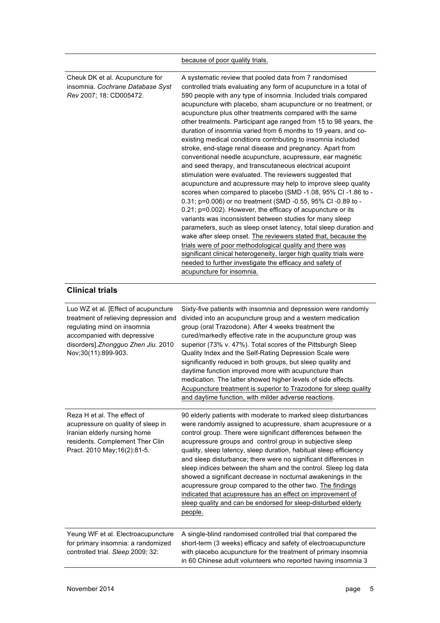|                                                                                                                                                                                                          | because of poor quality trials.                                                                                                                                                                                                                                                                                                                                                                                                                                                                                                                                                                                                                                                                                                                                                                                                                                                                                                                                                                                                                                                                                                                                                                                                                                                                                                                                                                                                                                                         |
|----------------------------------------------------------------------------------------------------------------------------------------------------------------------------------------------------------|-----------------------------------------------------------------------------------------------------------------------------------------------------------------------------------------------------------------------------------------------------------------------------------------------------------------------------------------------------------------------------------------------------------------------------------------------------------------------------------------------------------------------------------------------------------------------------------------------------------------------------------------------------------------------------------------------------------------------------------------------------------------------------------------------------------------------------------------------------------------------------------------------------------------------------------------------------------------------------------------------------------------------------------------------------------------------------------------------------------------------------------------------------------------------------------------------------------------------------------------------------------------------------------------------------------------------------------------------------------------------------------------------------------------------------------------------------------------------------------------|
| Cheuk DK et al. Acupuncture for<br>insomnia. Cochrane Database Syst<br>Rev 2007; 18: CD005472.                                                                                                           | A systematic review that pooled data from 7 randomised<br>controlled trials evaluating any form of acupuncture in a total of<br>590 people with any type of insomnia. Included trials compared<br>acupuncture with placebo, sham acupuncture or no treatment, or<br>acupuncture plus other treatments compared with the same<br>other treatments. Participant age ranged from 15 to 98 years, the<br>duration of insomnia varied from 6 months to 19 years, and co-<br>existing medical conditions contributing to insomnia included<br>stroke, end-stage renal disease and pregnancy. Apart from<br>conventional needle acupuncture, acupressure, ear magnetic<br>and seed therapy, and transcutaneous electrical acupoint<br>stimulation were evaluated. The reviewers suggested that<br>acupuncture and acupressure may help to improve sleep quality<br>scores when compared to placebo (SMD -1.08, 95% CI -1.86 to -<br>0.31; p=0.006) or no treatment (SMD -0.55, 95% CI -0.89 to -<br>0.21; p=0.002). However, the efficacy of acupuncture or its<br>variants was inconsistent between studies for many sleep<br>parameters, such as sleep onset latency, total sleep duration and<br>wake after sleep onset. The reviewers stated that, because the<br>trials were of poor methodological quality and there was<br>significant clinical heterogeneity, larger high quality trials were<br>needed to further investigate the efficacy and safety of<br>acupuncture for insomnia. |
| <b>Clinical trials</b>                                                                                                                                                                                   |                                                                                                                                                                                                                                                                                                                                                                                                                                                                                                                                                                                                                                                                                                                                                                                                                                                                                                                                                                                                                                                                                                                                                                                                                                                                                                                                                                                                                                                                                         |
| Luo WZ et al. [Effect of acupuncture<br>treatment of relieving depression and<br>regulating mind on insomnia<br>accompanied with depressive<br>disorders].Zhongguo Zhen Jiu. 2010<br>Nov;30(11):899-903. | Sixty-five patients with insomnia and depression were randomly<br>divided into an acupuncture group and a western medication<br>group (oral Trazodone). After 4 weeks treatment the<br>cured/markedly effective rate in the acupuncture group was<br>superior (73% v. 47%). Total scores of the Pittsburgh Sleep<br>Quality Index and the Self-Rating Depression Scale were<br>significantly reduced in both groups, but sleep quality and<br>daytime function improved more with acupuncture than<br>medication. The latter showed higher levels of side effects.<br>Acupuncture treatment is superior to Trazodone for sleep quality<br>and daytime function, with milder adverse reactions.                                                                                                                                                                                                                                                                                                                                                                                                                                                                                                                                                                                                                                                                                                                                                                                          |
| Reza H et al. The effect of<br>acupressure on quality of sleep in<br>Iranian elderly nursing home<br>residents. Complement Ther Clin<br>Pract. 2010 May; 16(2): 81-5.                                    | 90 elderly patients with moderate to marked sleep disturbances<br>were randomly assigned to acupressure, sham acupressure or a<br>control group. There were significant differences between the<br>acupressure groups and control group in subjective sleep<br>quality, sleep latency, sleep duration, habitual sleep efficiency<br>and sleep disturbance; there were no significant differences in<br>sleep indices between the sham and the control. Sleep log data<br>showed a significant decrease in nocturnal awakenings in the<br>acupressure group compared to the other two. The findings<br>indicated that acupressure has an effect on improvement of<br>sleep quality and can be endorsed for sleep-disturbed elderly<br>people.                                                                                                                                                                                                                                                                                                                                                                                                                                                                                                                                                                                                                                                                                                                                            |
| Yeung WF et al. Electroacupuncture<br>for primary insomnia: a randomized<br>controlled trial. Sleep 2009; 32:                                                                                            | A single-blind randomised controlled trial that compared the<br>short-term (3 weeks) efficacy and safety of electroacupuncture<br>with placebo acupuncture for the treatment of primary insomnia<br>in 60 Chinese adult volunteers who reported having insomnia 3                                                                                                                                                                                                                                                                                                                                                                                                                                                                                                                                                                                                                                                                                                                                                                                                                                                                                                                                                                                                                                                                                                                                                                                                                       |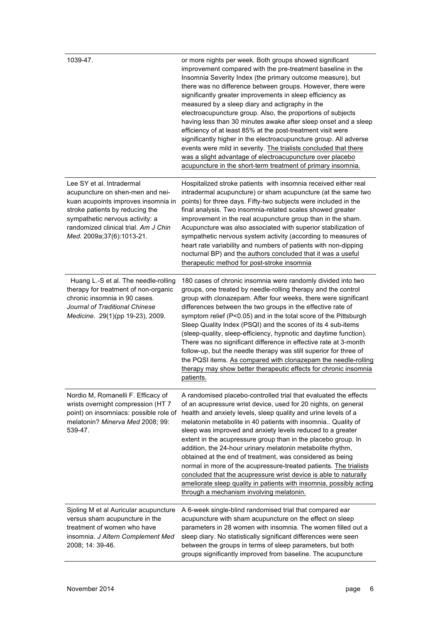| 1039-47.                                                                                                                                                                                                                                        | or more nights per week. Both groups showed significant<br>improvement compared with the pre-treatment baseline in the<br>Insomnia Severity Index (the primary outcome measure), but<br>there was no difference between groups. However, there were<br>significantly greater improvements in sleep efficiency as<br>measured by a sleep diary and actigraphy in the<br>electroacupuncture group. Also, the proportions of subjects<br>having less than 30 minutes awake after sleep onset and a sleep<br>efficiency of at least 85% at the post-treatment visit were<br>significantly higher in the electroacupuncture group. All adverse<br>events were mild in severity. The trialists concluded that there<br>was a slight advantage of electroacupuncture over placebo<br>acupuncture in the short-term treatment of primary insomnia. |
|-------------------------------------------------------------------------------------------------------------------------------------------------------------------------------------------------------------------------------------------------|--------------------------------------------------------------------------------------------------------------------------------------------------------------------------------------------------------------------------------------------------------------------------------------------------------------------------------------------------------------------------------------------------------------------------------------------------------------------------------------------------------------------------------------------------------------------------------------------------------------------------------------------------------------------------------------------------------------------------------------------------------------------------------------------------------------------------------------------|
| Lee SY et al. Intradermal<br>acupuncture on shen-men and nei-<br>kuan acupoints improves insomnia in<br>stroke patients by reducing the<br>sympathetic nervous activity: a<br>randomized clinical trial. Am J Chin<br>Med. 2009a;37(6):1013-21. | Hospitalized stroke patients with insomnia received either real<br>intradermal acupuncture) or sham acupuncture (at the same two<br>points) for three days. Fifty-two subjects were included in the<br>final analysis. Two insomnia-related scales showed greater<br>improvement in the real acupuncture group than in the sham.<br>Acupuncture was also associated with superior stabilization of<br>sympathetic nervous system activity (according to measures of<br>heart rate variability and numbers of patients with non-dipping<br>nocturnal BP) and the authors concluded that it was a useful<br>therapeutic method for post-stroke insomnia                                                                                                                                                                                      |
| Huang L.-S et al. The needle-rolling<br>therapy for treatment of non-organic<br>chronic insomnia in 90 cases.<br>Journal of Traditional Chinese<br>Medicine. 29(1)(pp 19-23), 2009.                                                             | 180 cases of chronic insomnia were randomly divided into two<br>groups, one treated by needle-rolling therapy and the control<br>group with clonazepam. After four weeks, there were significant<br>differences between the two groups in the effective rate of<br>symptom relief (P<0.05) and in the total score of the Pittsburgh<br>Sleep Quality Index (PSQI) and the scores of its 4 sub-items<br>(sleep-quality, sleep-efficiency, hypnotic and daytime function).<br>There was no significant difference in effective rate at 3-month<br>follow-up, but the needle therapy was still superior for three of<br>the PQSI items. As compared with clonazepam the needle-rolling<br>therapy may show better therapeutic effects for chronic insomnia<br>patients.                                                                       |
| Nordio M, Romanelli F. Efficacy of<br>wrists overnight compression (HT 7<br>point) on insomniacs: possible role of<br>melatonin? Minerva Med 2008; 99:<br>539-47.                                                                               | A randomised placebo-controlled trial that evaluated the effects<br>of an acupressure wrist device, used for 20 nights, on general<br>health and anxiety levels, sleep quality and urine levels of a<br>melatonin metabolite in 40 patients with insomnia Quality of<br>sleep was improved and anxiety levels reduced to a greater<br>extent in the acupressure group than in the placebo group. In<br>addition, the 24-hour urinary melatonin metabolite rhythm,<br>obtained at the end of treatment, was considered as being<br>normal in more of the acupressure-treated patients. The trialists<br>concluded that the acupressure wrist device is able to naturally<br>ameliorate sleep quality in patients with insomnia, possibly acting<br>through a mechanism involving melatonin.                                                 |
| Sjoling M et al Auricular acupuncture<br>versus sham acupuncture in the<br>treatment of women who have<br>insomnia. J Altern Complement Med<br>2008; 14: 39-46.                                                                                 | A 6-week single-blind randomised trial that compared ear<br>acupuncture with sham acupuncture on the effect on sleep<br>parameters in 28 women with insomnia. The women filled out a<br>sleep diary. No statistically significant differences were seen<br>between the groups in terms of sleep parameters, but both<br>groups significantly improved from baseline. The acupuncture                                                                                                                                                                                                                                                                                                                                                                                                                                                       |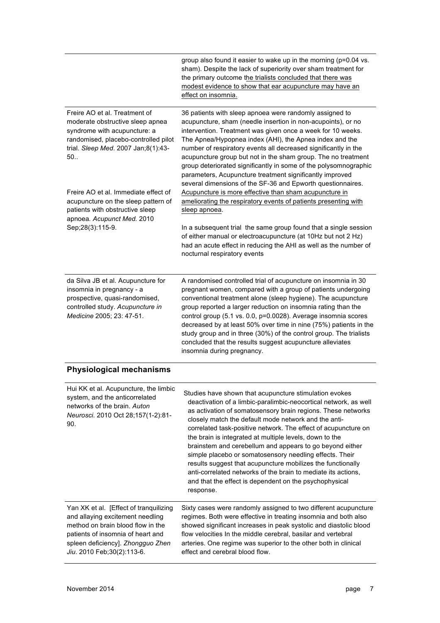|                                                                                                                                                                                         | group also found it easier to wake up in the morning (p=0.04 vs.<br>sham). Despite the lack of superiority over sham treatment for<br>the primary outcome the trialists concluded that there was<br>modest evidence to show that ear acupuncture may have an<br>effect on insomnia.                                                                                                                                                                                                                                                                                                  |
|-----------------------------------------------------------------------------------------------------------------------------------------------------------------------------------------|--------------------------------------------------------------------------------------------------------------------------------------------------------------------------------------------------------------------------------------------------------------------------------------------------------------------------------------------------------------------------------------------------------------------------------------------------------------------------------------------------------------------------------------------------------------------------------------|
| Freire AO et al. Treatment of<br>moderate obstructive sleep apnea<br>syndrome with acupuncture: a<br>randomised, placebo-controlled pilot<br>trial. Sleep Med. 2007 Jan;8(1):43-<br>50. | 36 patients with sleep apnoea were randomly assigned to<br>acupuncture, sham (needle insertion in non-acupoints), or no<br>intervention. Treatment was given once a week for 10 weeks.<br>The Apnea/Hypopnea index (AHI), the Apnea index and the<br>number of respiratory events all decreased significantly in the<br>acupuncture group but not in the sham group. The no treatment<br>group deteriorated significantly in some of the polysomnographic<br>parameters, Acupuncture treatment significantly improved<br>several dimensions of the SF-36 and Epworth questionnaires. |
| Freire AO et al. Immediate effect of<br>acupuncture on the sleep pattern of<br>patients with obstructive sleep<br>apnoea. Acupunct Med. 2010                                            | Acupuncture is more effective than sham acupuncture in<br>ameliorating the respiratory events of patients presenting with<br>sleep apnoea.                                                                                                                                                                                                                                                                                                                                                                                                                                           |
| Sep;28(3):115-9.                                                                                                                                                                        | In a subsequent trial the same group found that a single session<br>of either manual or electroacupuncture (at 10Hz but not 2 Hz)<br>had an acute effect in reducing the AHI as well as the number of<br>nocturnal respiratory events                                                                                                                                                                                                                                                                                                                                                |
| da Silva JB et al. Acupuncture for<br>insomnia in pregnancy - a<br>prospective, quasi-randomised,<br>controlled study. Acupuncture in<br>Medicine 2005; 23: 47-51.                      | A randomised controlled trial of acupuncture on insomnia in 30<br>pregnant women, compared with a group of patients undergoing<br>conventional treatment alone (sleep hygiene). The acupuncture<br>group reported a larger reduction on insomnia rating than the<br>control group (5.1 vs. 0.0, p=0.0028). Average insomnia scores<br>decreased by at least 50% over time in nine (75%) patients in the<br>study group and in three (30%) of the control group. The trialists<br>concluded that the results suggest acupuncture alleviates<br>insomnia during pregnancy.             |
| <b>Physiological mechanisms</b>                                                                                                                                                         |                                                                                                                                                                                                                                                                                                                                                                                                                                                                                                                                                                                      |

| Hui KK et al. Acupuncture, the limbic<br>system, and the anticorrelated<br>networks of the brain. Auton<br>Neurosci. 2010 Oct 28;157(1-2):81-<br>90. | Studies have shown that acupuncture stimulation evokes<br>deactivation of a limbic-paralimbic-neocortical network, as well<br>as activation of somatosensory brain regions. These networks<br>closely match the default mode network and the anti-<br>correlated task-positive network. The effect of acupuncture on<br>the brain is integrated at multiple levels, down to the<br>brainstem and cerebellum and appears to go beyond either<br>simple placebo or somatosensory needling effects. Their<br>results suggest that acupuncture mobilizes the functionally<br>anti-correlated networks of the brain to mediate its actions.<br>and that the effect is dependent on the psychophysical<br>response. |
|------------------------------------------------------------------------------------------------------------------------------------------------------|---------------------------------------------------------------------------------------------------------------------------------------------------------------------------------------------------------------------------------------------------------------------------------------------------------------------------------------------------------------------------------------------------------------------------------------------------------------------------------------------------------------------------------------------------------------------------------------------------------------------------------------------------------------------------------------------------------------|
| Yan XK et al. [Effect of tranguilizing]                                                                                                              | Sixty cases were randomly assigned to two different acupuncture                                                                                                                                                                                                                                                                                                                                                                                                                                                                                                                                                                                                                                               |
| and allaying excitement needling                                                                                                                     | regimes. Both were effective in treating insomnia and both also                                                                                                                                                                                                                                                                                                                                                                                                                                                                                                                                                                                                                                               |
| method on brain blood flow in the                                                                                                                    | showed significant increases in peak systolic and diastolic blood                                                                                                                                                                                                                                                                                                                                                                                                                                                                                                                                                                                                                                             |
| patients of insomnia of heart and                                                                                                                    | flow velocities In the middle cerebral, basilar and vertebral                                                                                                                                                                                                                                                                                                                                                                                                                                                                                                                                                                                                                                                 |
| spleen deficiency]. Zhongguo Zhen                                                                                                                    | arteries. One regime was superior to the other both in clinical                                                                                                                                                                                                                                                                                                                                                                                                                                                                                                                                                                                                                                               |
| Jiu. 2010 Feb; 30(2): 113-6.                                                                                                                         | effect and cerebral blood flow.                                                                                                                                                                                                                                                                                                                                                                                                                                                                                                                                                                                                                                                                               |